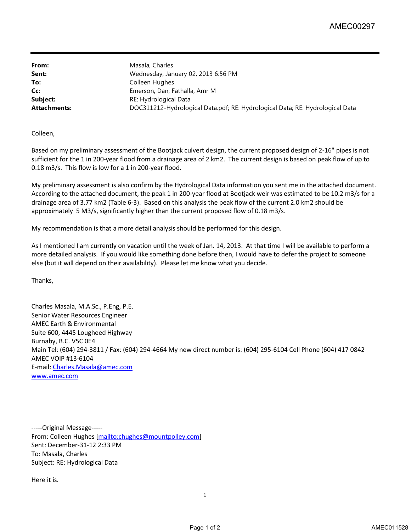From: Masala, Charles

**Sent:** Wednesday, January 02, 2013 6:56 PM To: Colleen Hughes **Cc:** Emerson, Dan; Fathalla, Amr M **Subject:** RE: Hydrological Data **Attachments:** DOC311212-Hydrological Data.pdf; RE: Hydrological Data; RE: Hydrological Data

Colleen,

Based on my preliminary assessment of the Bootjack culvert design, the current proposed design of 2-16" pipes is not sufficient for the 1 in 200-year flood from a drainage area of 2 km2. The current design is based on peak flow of up to 0.18 m3/s. This flow is low for a 1 in 200-year flood.

My preliminary assessment is also confirm by the Hydrological Data information you sent me in the attached document. According to the attached document, the peak 1 in 200-year flood at Bootjack weir was estimated to be 10.2 m3/s for a drainage area of 3.77 km2 (Table 6-3). Based on this analysis the peak flow of the current 2.0 km2 should be approximately 5 M3/s, significantly higher than the current proposed flow of 0.18 m3/s.

My recommendation is that a more detail analysis should be performed for this design.

As I mentioned I am currently on vacation until the week of Jan. 14, 2013. At that time I will be available to perform a more detailed analysis. If you would like something done before then, I would have to defer the project to someone else (but it will depend on their availability). Please let me know what you decide.

Thanks,

Charles Masala, M.A.Sc., P.Eng, P.E. Senior Water Resources Engineer AMEC Earth & Environmental Suite 600, 4445 Lougheed Highway Burnaby, B.C. V5C 0E4 Main Tel: (604) 294-3811 / Fax: (604) 294-4664 My new direct number is: (604) 295-6104 Cell Phone (604) 417 0842 AMEC VOIP #13-6104 E-mail: Charles.Masala@amec.com [www.amec.com](http://www.amec.com)

-----Original Message----- From: Colleen Hughes [mailto:chughes@mountpolley.com] Sent: December-31-12 2:33 PM To: Masala, Charles Subject: RE: Hydrological Data

Here it is.